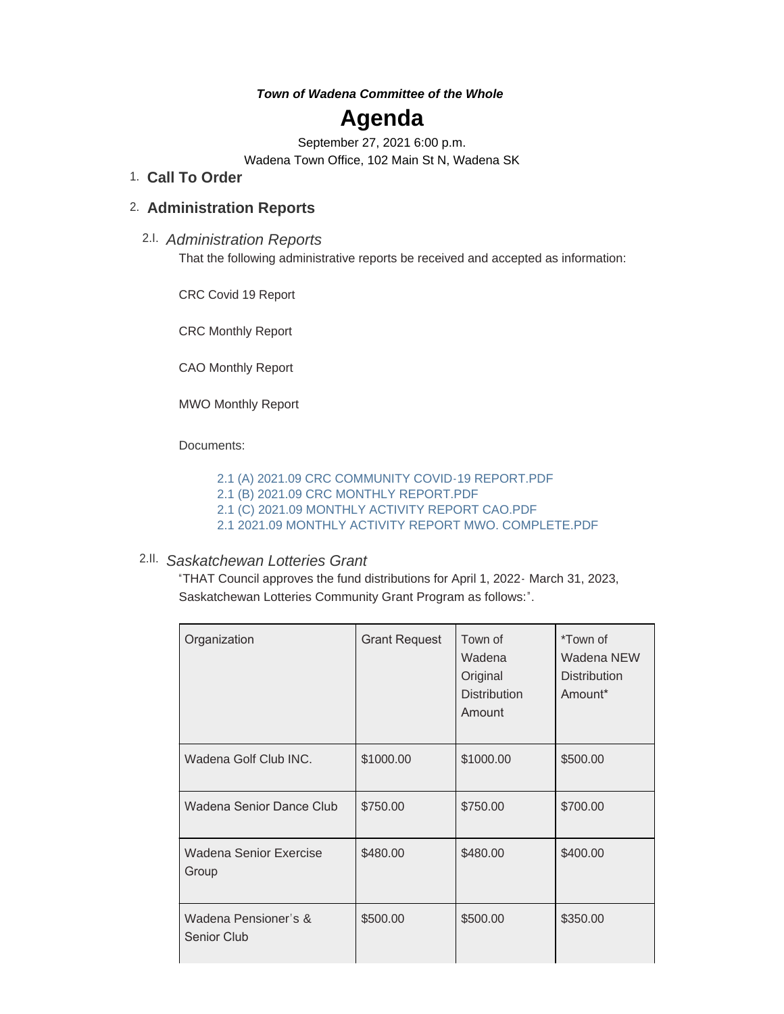### *Town of Wadena Committee of the Whole*

# **Agenda**

September 27, 2021 6:00 p.m. Wadena Town Office, 102 Main St N, Wadena SK

## **Call To Order** 1.

# **Administration Reports** 2.

*Administration Reports* 2.I. That the following administrative reports be received and accepted as information:

CRC Covid 19 Report

CRC Monthly Report

CAO Monthly Report

MWO Monthly Report

Documents:

[2.1 \(A\) 2021.09 CRC COMMUNITY COVID-19 REPORT.PDF](http://townofwadena.com/AgendaCenter/ViewFile/Item/3005?fileID=3560)

- [2.1 \(B\) 2021.09 CRC MONTHLY REPORT.PDF](http://townofwadena.com/AgendaCenter/ViewFile/Item/3005?fileID=3561)
- [2.1 \(C\) 2021.09 MONTHLY ACTIVITY REPORT CAO.PDF](http://townofwadena.com/AgendaCenter/ViewFile/Item/3005?fileID=3562)
- [2.1 2021.09 MONTHLY ACTIVITY REPORT MWO. COMPLETE.PDF](http://townofwadena.com/AgendaCenter/ViewFile/Item/3005?fileID=3563)

## *Saskatchewan Lotteries Grant* 2.II.

"THAT Council approves the fund distributions for April 1, 2022- March 31, 2023, Saskatchewan Lotteries Community Grant Program as follows:".

| Organization                               | <b>Grant Request</b> | Town of<br>Wadena<br>Original<br><b>Distribution</b><br>Amount | *Town of<br>Wadena NEW<br><b>Distribution</b><br>Amount* |
|--------------------------------------------|----------------------|----------------------------------------------------------------|----------------------------------------------------------|
| Wadena Golf Club INC.                      | \$1000.00            | \$1000.00                                                      | \$500.00                                                 |
| Wadena Senior Dance Club                   | \$750.00             | \$750.00                                                       | \$700.00                                                 |
| Wadena Senior Exercise<br>Group            | \$480.00             | \$480.00                                                       | \$400.00                                                 |
| Wadena Pensioner's &<br><b>Senior Club</b> | \$500.00             | \$500.00                                                       | \$350.00                                                 |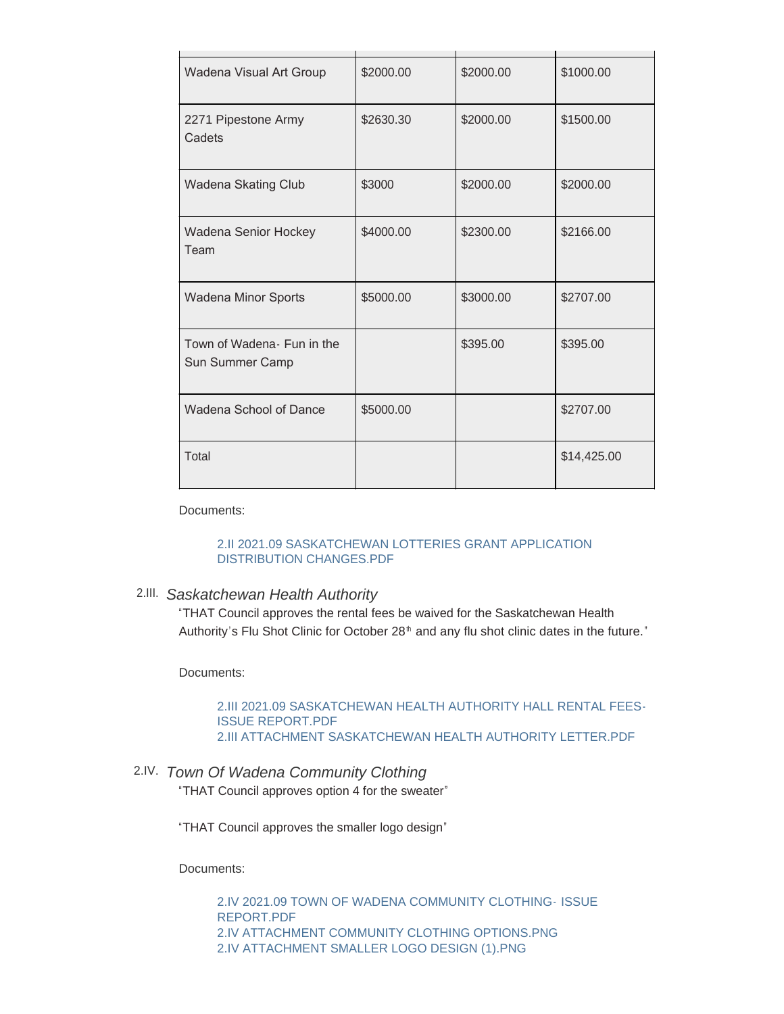| Wadena Visual Art Group                        | \$2000.00 | \$2000.00 | \$1000.00   |
|------------------------------------------------|-----------|-----------|-------------|
| 2271 Pipestone Army<br>Cadets                  | \$2630.30 | \$2000.00 | \$1500.00   |
| Wadena Skating Club                            | \$3000    | \$2000.00 | \$2000.00   |
| Wadena Senior Hockey<br>Team                   | \$4000.00 | \$2300.00 | \$2166.00   |
| Wadena Minor Sports                            | \$5000.00 | \$3000.00 | \$2707.00   |
| Town of Wadena - Fun in the<br>Sun Summer Camp |           | \$395.00  | \$395.00    |
| Wadena School of Dance                         | \$5000.00 |           | \$2707.00   |
| Total                                          |           |           | \$14,425.00 |

Documents:

#### [2.II 2021.09 SASKATCHEWAN LOTTERIES GRANT APPLICATION](http://townofwadena.com/AgendaCenter/ViewFile/Item/3006?fileID=3564)  DISTRIBUTION CHANGES.PDF

# *Saskatchewan Health Authority* 2.III.

"THAT Council approves the rental fees be waived for the Saskatchewan Health Authority's Flu Shot Clinic for October 28<sup>th</sup> and any flu shot clinic dates in the future."

Documents:

#### [2.III 2021.09 SASKATCHEWAN HEALTH AUTHORITY HALL RENTAL FEES-](http://townofwadena.com/AgendaCenter/ViewFile/Item/3007?fileID=3565)ISSUE REPORT.PDF [2.III ATTACHMENT SASKATCHEWAN HEALTH AUTHORITY LETTER.PDF](http://townofwadena.com/AgendaCenter/ViewFile/Item/3007?fileID=3569)

# *Town Of Wadena Community Clothing* 2.IV. "THAT Council approves option 4 for the sweater"

"THAT Council approves the smaller logo design"

Documents:

[2.IV 2021.09 TOWN OF WADENA COMMUNITY CLOTHING-](http://townofwadena.com/AgendaCenter/ViewFile/Item/3008?fileID=3566) ISSUE REPORT.PDF [2.IV ATTACHMENT COMMUNITY CLOTHING OPTIONS.PNG](http://townofwadena.com/AgendaCenter/ViewFile/Item/3008?fileID=3567) [2.IV ATTACHMENT SMALLER LOGO DESIGN \(1\).PNG](http://townofwadena.com/AgendaCenter/ViewFile/Item/3008?fileID=3568)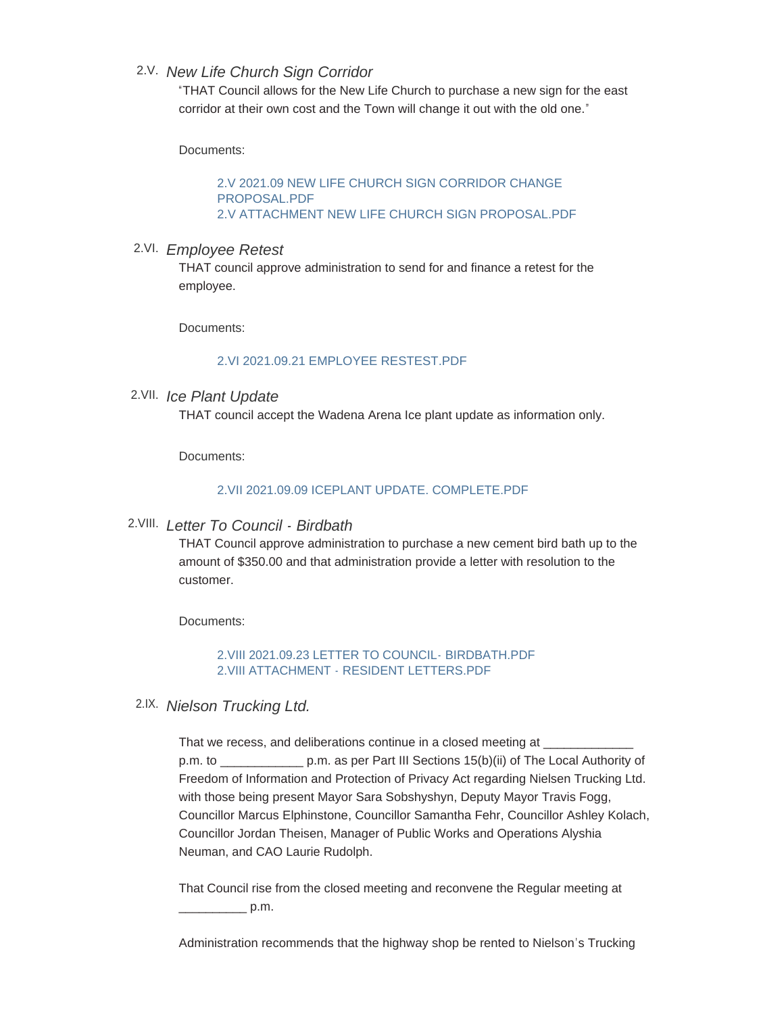# *New Life Church Sign Corridor* 2.V.

"THAT Council allows for the New Life Church to purchase a new sign for the east corridor at their own cost and the Town will change it out with the old one."

Documents:

[2.V 2021.09 NEW LIFE CHURCH SIGN CORRIDOR CHANGE](http://townofwadena.com/AgendaCenter/ViewFile/Item/3009?fileID=3570)  PROPOSAL.PDF [2.V ATTACHMENT NEW LIFE CHURCH SIGN PROPOSAL.PDF](http://townofwadena.com/AgendaCenter/ViewFile/Item/3009?fileID=3571)

# *Employee Retest* 2.VI.

THAT council approve administration to send for and finance a retest for the employee.

Documents:

#### [2.VI 2021.09.21 EMPLOYEE RESTEST.PDF](http://townofwadena.com/AgendaCenter/ViewFile/Item/3010?fileID=3572)

## *Ice Plant Update* 2.VII.

THAT council accept the Wadena Arena Ice plant update as information only.

Documents:

#### [2.VII 2021.09.09 ICEPLANT UPDATE. COMPLETE.PDF](http://townofwadena.com/AgendaCenter/ViewFile/Item/3011?fileID=3573)

# *Letter To Council - Birdbath* 2.VIII.

THAT Council approve administration to purchase a new cement bird bath up to the amount of \$350.00 and that administration provide a letter with resolution to the customer.

Documents:

[2.VIII 2021.09.23 LETTER TO COUNCIL- BIRDBATH.PDF](http://townofwadena.com/AgendaCenter/ViewFile/Item/3012?fileID=3574) [2.VIII ATTACHMENT - RESIDENT LETTERS.PDF](http://townofwadena.com/AgendaCenter/ViewFile/Item/3012?fileID=3575)

## *Nielson Trucking Ltd.* 2.IX.

That we recess, and deliberations continue in a closed meeting at \_\_\_\_\_\_\_\_\_\_\_\_\_\_\_ p.m. to \_\_\_\_\_\_\_\_\_\_\_\_ p.m. as per Part III Sections 15(b)(ii) of The Local Authority of Freedom of Information and Protection of Privacy Act regarding Nielsen Trucking Ltd. with those being present Mayor Sara Sobshyshyn, Deputy Mayor Travis Fogg, Councillor Marcus Elphinstone, Councillor Samantha Fehr, Councillor Ashley Kolach, Councillor Jordan Theisen, Manager of Public Works and Operations Alyshia Neuman, and CAO Laurie Rudolph.

That Council rise from the closed meeting and reconvene the Regular meeting at  $p.m.$ 

Administration recommends that the highway shop be rented to Nielson's Trucking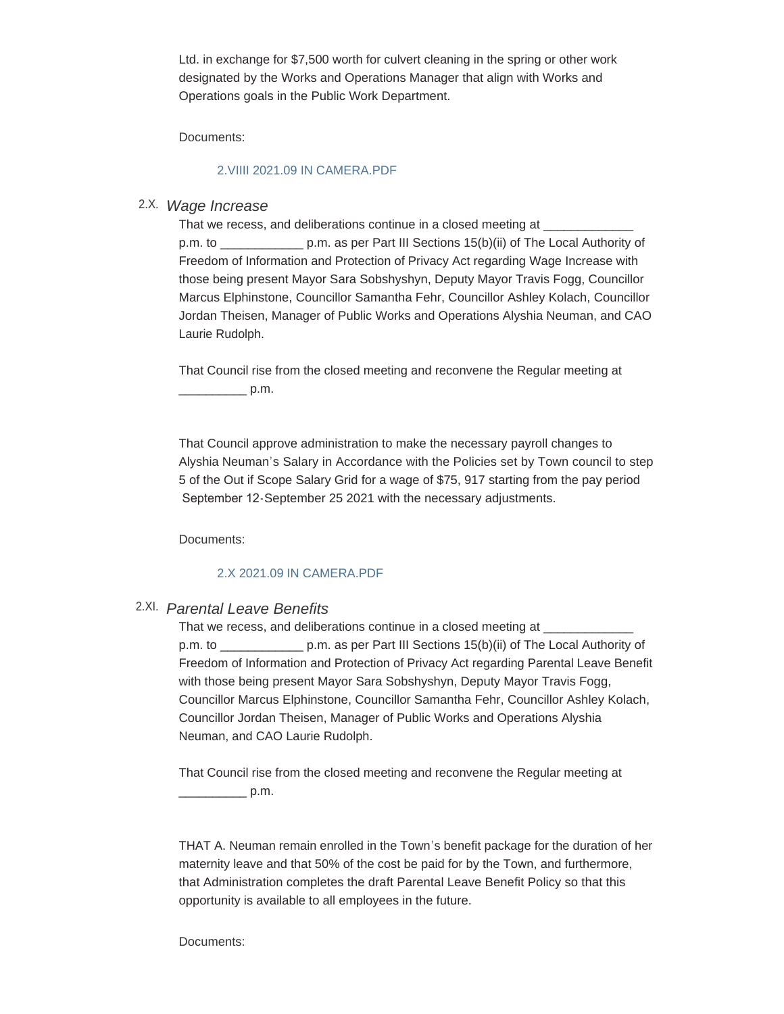Ltd. in exchange for \$7,500 worth for culvert cleaning in the spring or other work designated by the Works and Operations Manager that align with Works and Operations goals in the Public Work Department.

Documents:

#### [2.VIIII 2021.09 IN CAMERA.PDF](http://townofwadena.com/AgendaCenter/ViewFile/Item/3013?fileID=3576)

# *Wage Increase* 2.X.

That we recess, and deliberations continue in a closed meeting at p.m. to \_\_\_\_\_\_\_\_\_\_\_\_ p.m. as per Part III Sections 15(b)(ii) of The Local Authority of Freedom of Information and Protection of Privacy Act regarding Wage Increase with those being present Mayor Sara Sobshyshyn, Deputy Mayor Travis Fogg, Councillor Marcus Elphinstone, Councillor Samantha Fehr, Councillor Ashley Kolach, Councillor Jordan Theisen, Manager of Public Works and Operations Alyshia Neuman, and CAO Laurie Rudolph.

That Council rise from the closed meeting and reconvene the Regular meeting at  $p.m.$ 

That Council approve administration to make the necessary payroll changes to Alyshia Neuman's Salary in Accordance with the Policies set by Town council to step 5 of the Out if Scope Salary Grid for a wage of \$75, 917 starting from the pay period September 12-September 25 2021 with the necessary adjustments.

Documents:

#### [2.X 2021.09 IN CAMERA.PDF](http://townofwadena.com/AgendaCenter/ViewFile/Item/3014?fileID=3579)

# *Parental Leave Benefits* 2.XI.

That we recess, and deliberations continue in a closed meeting at \_\_\_\_\_\_\_\_\_\_\_\_\_\_ p.m. to \_\_\_\_\_\_\_\_\_\_\_\_ p.m. as per Part III Sections 15(b)(ii) of The Local Authority of Freedom of Information and Protection of Privacy Act regarding Parental Leave Benefit with those being present Mayor Sara Sobshyshyn, Deputy Mayor Travis Fogg, Councillor Marcus Elphinstone, Councillor Samantha Fehr, Councillor Ashley Kolach, Councillor Jordan Theisen, Manager of Public Works and Operations Alyshia Neuman, and CAO Laurie Rudolph.

That Council rise from the closed meeting and reconvene the Regular meeting at  $p.m.$ 

THAT A. Neuman remain enrolled in the Town's benefit package for the duration of her maternity leave and that 50% of the cost be paid for by the Town, and furthermore, that Administration completes the draft Parental Leave Benefit Policy so that this opportunity is available to all employees in the future.

Documents: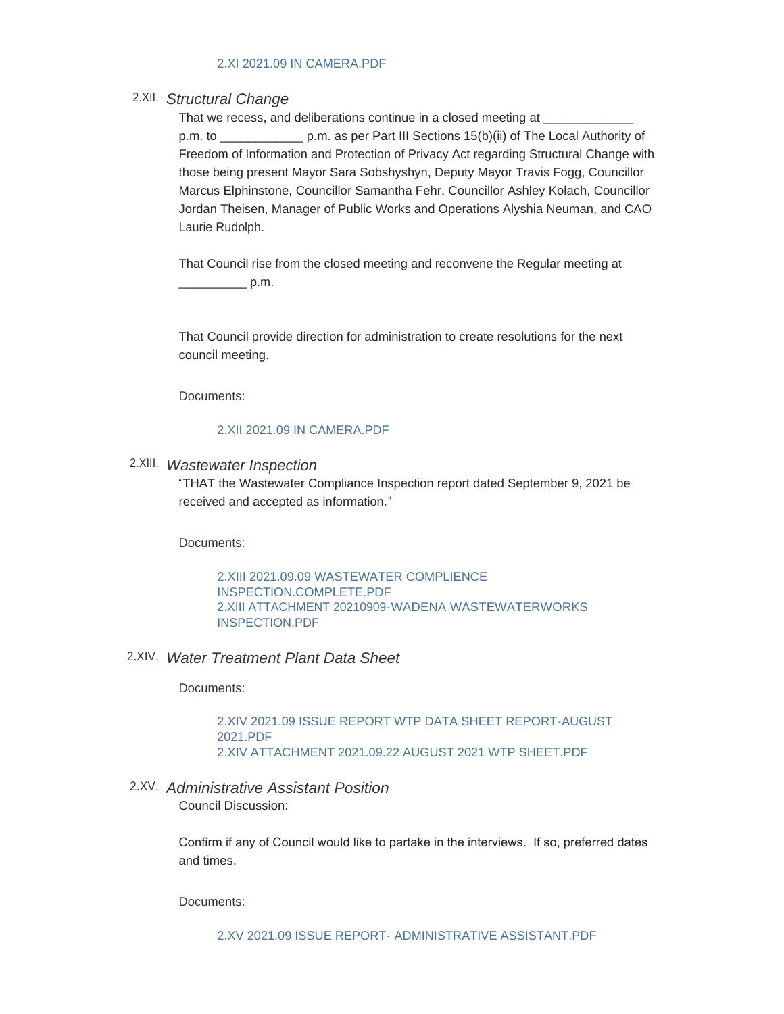#### [2.XI 2021.09 IN CAMERA.PDF](http://townofwadena.com/AgendaCenter/ViewFile/Item/3015?fileID=3581)

# *Structural Change*  2.XII.

That we recess, and deliberations continue in a closed meeting at p.m. to \_\_\_\_\_\_\_\_\_\_\_\_ p.m. as per Part III Sections 15(b)(ii) of The Local Authority of Freedom of Information and Protection of Privacy Act regarding Structural Change with those being present Mayor Sara Sobshyshyn, Deputy Mayor Travis Fogg, Councillor Marcus Elphinstone, Councillor Samantha Fehr, Councillor Ashley Kolach, Councillor Jordan Theisen, Manager of Public Works and Operations Alyshia Neuman, and CAO Laurie Rudolph.

That Council rise from the closed meeting and reconvene the Regular meeting at  $\rule{1em}{0.6em}$  p.m.

That Council provide direction for administration to create resolutions for the next council meeting.

Documents:

#### [2.XII 2021.09 IN CAMERA.PDF](http://townofwadena.com/AgendaCenter/ViewFile/Item/3016?fileID=3583)

## *Wastewater Inspection* 2.XIII.

"THAT the Wastewater Compliance Inspection report dated September 9, 2021 be received and accepted as information."

Documents:

[2.XIII 2021.09.09 WASTEWATER COMPLIENCE](http://townofwadena.com/AgendaCenter/ViewFile/Item/3017?fileID=3585)  INSPECTION.COMPLETE.PDF [2.XIII ATTACHMENT 20210909-WADENA WASTEWATERWORKS](http://townofwadena.com/AgendaCenter/ViewFile/Item/3017?fileID=3586)  INSPECTION.PDF

## *Water Treatment Plant Data Sheet* 2.XIV.

Documents:

[2.XIV 2021.09 ISSUE REPORT WTP DATA SHEET REPORT-AUGUST](http://townofwadena.com/AgendaCenter/ViewFile/Item/3018?fileID=3587)  2021.PDF [2.XIV ATTACHMENT 2021.09.22 AUGUST 2021 WTP SHEET.PDF](http://townofwadena.com/AgendaCenter/ViewFile/Item/3018?fileID=3588)

# *Administrative Assistant Position* 2.XV.

Council Discussion:

Confirm if any of Council would like to partake in the interviews. If so, preferred dates and times.

Documents: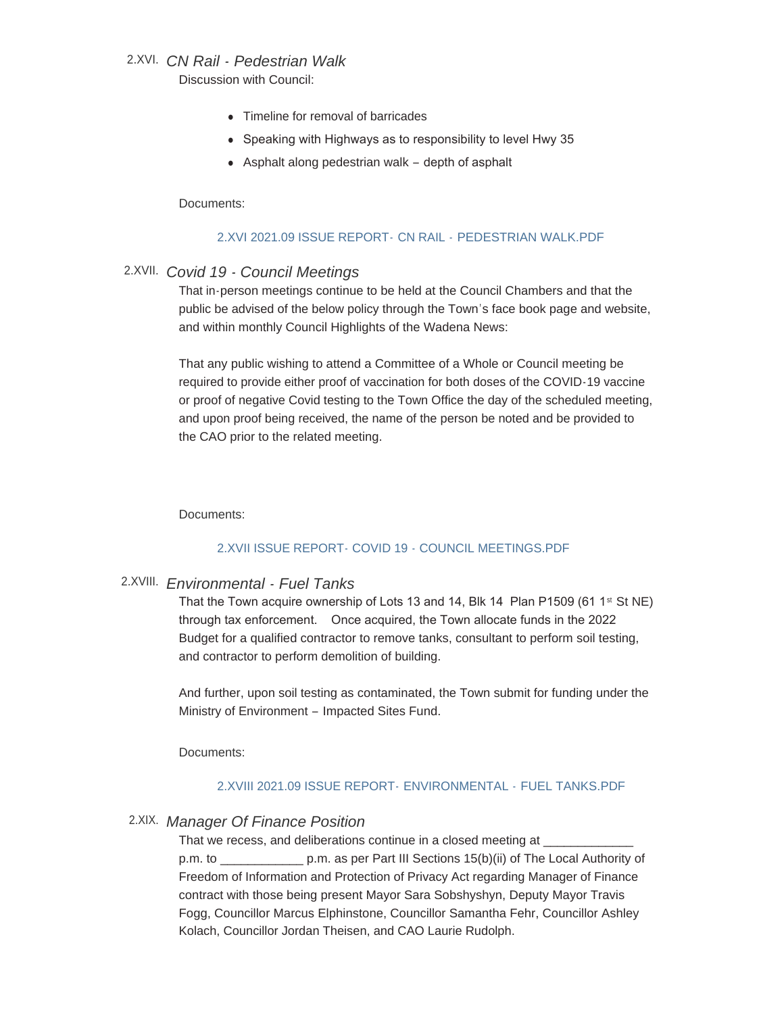# *CN Rail - Pedestrian Walk* 2.XVI.

Discussion with Council:

- Timeline for removal of barricades
- Speaking with Highways as to responsibility to level Hwy 35
- $\bullet$  Asphalt along pedestrian walk depth of asphalt

#### Documents:

### [2.XVI 2021.09 ISSUE REPORT-](http://townofwadena.com/AgendaCenter/ViewFile/Item/3020?fileID=3590) CN RAIL - PEDESTRIAN WALK.PDF

# *Covid 19 - Council Meetings* 2.XVII.

That in-person meetings continue to be held at the Council Chambers and that the public be advised of the below policy through the Town's face book page and website, and within monthly Council Highlights of the Wadena News:

That any public wishing to attend a Committee of a Whole or Council meeting be required to provide either proof of vaccination for both doses of the COVID-19 vaccine or proof of negative Covid testing to the Town Office the day of the scheduled meeting, and upon proof being received, the name of the person be noted and be provided to the CAO prior to the related meeting.

Documents:

## [2.XVII ISSUE REPORT- COVID 19 - COUNCIL MEETINGS.PDF](http://townofwadena.com/AgendaCenter/ViewFile/Item/3021?fileID=3591)

# *Environmental - Fuel Tanks* 2.XVIII.

That the Town acquire ownership of Lots 13 and 14, Blk 14 Plan P1509 (61 1<sup>st</sup> St NE) through tax enforcement. Once acquired, the Town allocate funds in the 2022 Budget for a qualified contractor to remove tanks, consultant to perform soil testing, and contractor to perform demolition of building.

And further, upon soil testing as contaminated, the Town submit for funding under the Ministry of Environment – Impacted Sites Fund.

Documents:

## [2.XVIII 2021.09 ISSUE REPORT-](http://townofwadena.com/AgendaCenter/ViewFile/Item/3022?fileID=3592) ENVIRONMENTAL - FUEL TANKS.PDF

# *Manager Of Finance Position* 2.XIX.

That we recess, and deliberations continue in a closed meeting at

p.m. to \_\_\_\_\_\_\_\_\_\_\_\_ p.m. as per Part III Sections 15(b)(ii) of The Local Authority of Freedom of Information and Protection of Privacy Act regarding Manager of Finance contract with those being present Mayor Sara Sobshyshyn, Deputy Mayor Travis Fogg, Councillor Marcus Elphinstone, Councillor Samantha Fehr, Councillor Ashley Kolach, Councillor Jordan Theisen, and CAO Laurie Rudolph.